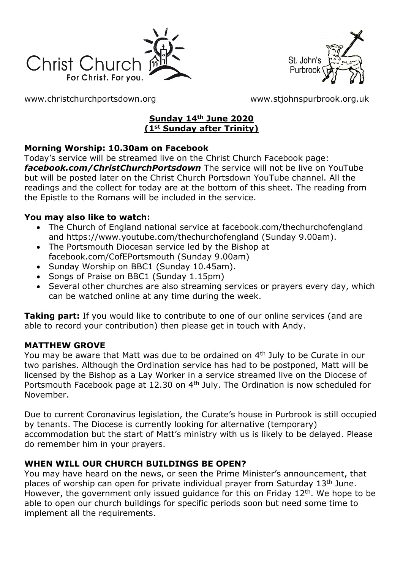



[www.christchurchportsdown.org](http://www.christchurchportsdown.org/) [www.stjohnspurbrook.org.uk](http://www.stjohnspurbrook.org.uk/)

## **Sunday 14th June 2020 (1st Sunday after Trinity)**

## **Morning Worship: 10.30am on Facebook**

Today's service will be streamed live on the Christ Church Facebook page: *[facebook.com/ChristChurchPortsdown](http://www.facebook.com/ChristChurchPortsdown%20at%2010.30)* The service will not be live on YouTube but will be posted later on the Christ Church Portsdown YouTube channel. All the readings and the collect for today are at the bottom of this sheet. The reading from the Epistle to the Romans will be included in the service.

## **You may also like to watch:**

- The Church of England national service at facebook.com/thechurchofengland and https://www.youtube.com/thechurchofengland (Sunday 9.00am).
- The Portsmouth Diocesan service led by the Bishop at facebook.com/CofEPortsmouth (Sunday 9.00am)
- Sunday Worship on BBC1 (Sunday 10.45am).
- Songs of Praise on BBC1 (Sunday 1.15pm)
- Several other churches are also streaming services or prayers every day, which can be watched online at any time during the week.

**Taking part:** If you would like to contribute to one of our online services (and are able to record your contribution) then please get in touch with Andy.

## **MATTHEW GROVE**

You may be aware that Matt was due to be ordained on 4<sup>th</sup> July to be Curate in our two parishes. Although the Ordination service has had to be postponed, Matt will be licensed by the Bishop as a Lay Worker in a service streamed live on the Diocese of Portsmouth Facebook page at 12.30 on 4<sup>th</sup> July. The Ordination is now scheduled for November.

Due to current Coronavirus legislation, the Curate's house in Purbrook is still occupied by tenants. The Diocese is currently looking for alternative (temporary) accommodation but the start of Matt's ministry with us is likely to be delayed. Please do remember him in your prayers.

## **WHEN WILL OUR CHURCH BUILDINGS BE OPEN?**

You may have heard on the news, or seen the Prime Minister's announcement, that places of worship can open for private individual prayer from Saturday 13th June. However, the government only issued quidance for this on Friday  $12<sup>th</sup>$ . We hope to be able to open our church buildings for specific periods soon but need some time to implement all the requirements.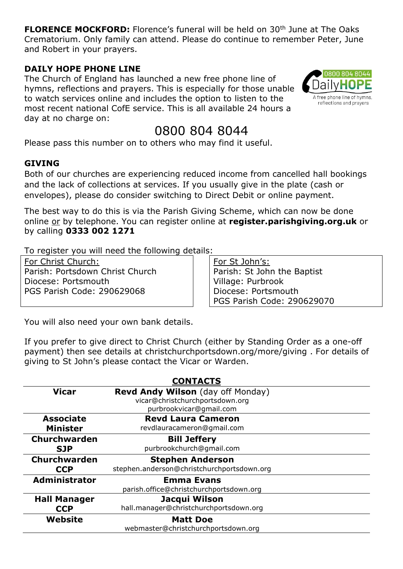**FLORENCE MOCKFORD:** Florence's funeral will be held on 30<sup>th</sup> June at The Oaks Crematorium. Only family can attend. Please do continue to remember Peter, June and Robert in your prayers.

#### **DAILY HOPE PHONE LINE**

The Church of England has launched a new free phone line of hymns, reflections and prayers. This is especially for those unable to watch services online and includes the option to listen to the most recent national CofE service. This is all available 24 hours a day at no charge on:

# 0800 804 8044

Please pass this number on to others who may find it useful.

## **GIVING**

Both of our churches are experiencing reduced income from cancelled hall bookings and the lack of collections at services. If you usually give in the plate (cash or envelopes), please do consider switching to Direct Debit or online payment.

The best way to do this is via the Parish Giving Scheme, which can now be done online or by telephone. You can register online at **register.parishgiving.org.uk** or by calling **0333 002 1271**

To register you will need the following details:

For Christ Church: Parish: Portsdown Christ Church Diocese: Portsmouth PGS Parish Code: 290629068

For St John's: Parish: St John the Baptist Village: Purbrook Diocese: Portsmouth PGS Parish Code: 290629070

You will also need your own bank details.

If you prefer to give direct to Christ Church (either by Standing Order as a one-off payment) then see details at christchurchportsdown.org/more/giving . For details of giving to St John's please contact the Vicar or Warden.

| <b>CONTACTS</b>                     |                                                                      |
|-------------------------------------|----------------------------------------------------------------------|
| <b>Vicar</b>                        | Revd Andy Wilson (day off Monday)<br>vicar@christchurchportsdown.org |
|                                     | purbrookvicar@gmail.com                                              |
| <b>Associate</b><br><b>Minister</b> | <b>Revd Laura Cameron</b><br>revdlauracameron@gmail.com              |
| Churchwarden                        | <b>Bill Jeffery</b>                                                  |
| <b>SJP</b>                          | purbrookchurch@gmail.com                                             |
| Churchwarden                        | <b>Stephen Anderson</b>                                              |
| <b>CCP</b>                          | stephen.anderson@christchurchportsdown.org                           |
| <b>Administrator</b>                | <b>Emma Evans</b>                                                    |
|                                     | parish.office@christchurchportsdown.org                              |
| <b>Hall Manager</b>                 | Jacqui Wilson                                                        |
| <b>CCP</b>                          | hall.manager@christchurchportsdown.org                               |
| Website                             | <b>Matt Doe</b>                                                      |
|                                     | webmaster@christchurchportsdown.org                                  |

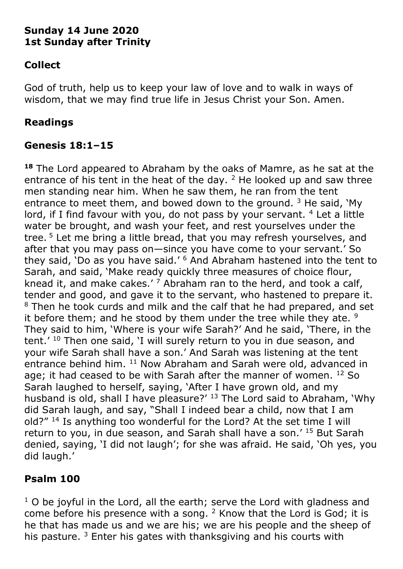## **Sunday 14 June 2020 1st Sunday after Trinity**

# **Collect**

God of truth, help us to keep your law of love and to walk in ways of wisdom, that we may find true life in Jesus Christ your Son. Amen.

## **Readings**

## **Genesis 18:1–15**

**<sup>18</sup>** The Lord appeared to Abraham by the oaks of Mamre, as he sat at the entrance of his tent in the heat of the day.  $2$  He looked up and saw three men standing near him. When he saw them, he ran from the tent entrance to meet them, and bowed down to the ground.  $3$  He said,  $Mv$ lord, if I find favour with you, do not pass by your servant. <sup>4</sup> Let a little water be brought, and wash your feet, and rest yourselves under the tree.<sup>5</sup> Let me bring a little bread, that you may refresh yourselves, and after that you may pass on—since you have come to your servant.' So they said, 'Do as you have said.' <sup>6</sup> And Abraham hastened into the tent to Sarah, and said, 'Make ready quickly three measures of choice flour, knead it, and make cakes.'  $7$  Abraham ran to the herd, and took a calf, tender and good, and gave it to the servant, who hastened to prepare it. <sup>8</sup> Then he took curds and milk and the calf that he had prepared, and set it before them; and he stood by them under the tree while they ate.  $9$ They said to him, 'Where is your wife Sarah?' And he said, 'There, in the tent.<sup>' 10</sup> Then one said, 'I will surely return to you in due season, and your wife Sarah shall have a son.' And Sarah was listening at the tent entrance behind him. <sup>11</sup> Now Abraham and Sarah were old, advanced in age; it had ceased to be with Sarah after the manner of women.  $12$  So Sarah laughed to herself, saying, 'After I have grown old, and my husband is old, shall I have pleasure?' <sup>13</sup> The Lord said to Abraham, 'Why did Sarah laugh, and say, "Shall I indeed bear a child, now that I am old?" <sup>14</sup> Is anything too wonderful for the Lord? At the set time I will return to you, in due season, and Sarah shall have a son.' <sup>15</sup> But Sarah denied, saying, 'I did not laugh'; for she was afraid. He said, 'Oh yes, you did laugh.'

# **Psalm 100**

 $1$  O be joyful in the Lord, all the earth; serve the Lord with gladness and come before his presence with a song. <sup>2</sup> Know that the Lord is God; it is he that has made us and we are his; we are his people and the sheep of his pasture.<sup>3</sup> Enter his gates with thanksgiving and his courts with